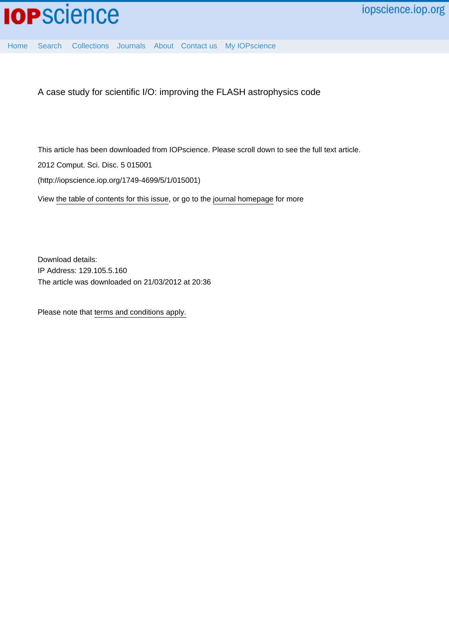

[Home](http://iopscience.iop.org/) [Search](http://iopscience.iop.org/search) [Collections](http://iopscience.iop.org/collections) [Journals](http://iopscience.iop.org/journals) [About](http://iopscience.iop.org/page/aboutioppublishing) [Contact us](http://iopscience.iop.org/contact) [My IOPscience](http://iopscience.iop.org/myiopscience)

A case study for scientific I/O: improving the FLASH astrophysics code

This article has been downloaded from IOPscience. Please scroll down to see the full text article.

2012 Comput. Sci. Disc. 5 015001

(http://iopscience.iop.org/1749-4699/5/1/015001)

View [the table of contents for this issue](http://iopscience.iop.org/1749-4699/5/1), or go to the [journal homepage](http://iopscience.iop.org/1749-4699) for more

Download details: IP Address: 129.105.5.160 The article was downloaded on 21/03/2012 at 20:36

Please note that [terms and conditions apply.](http://iopscience.iop.org/page/terms)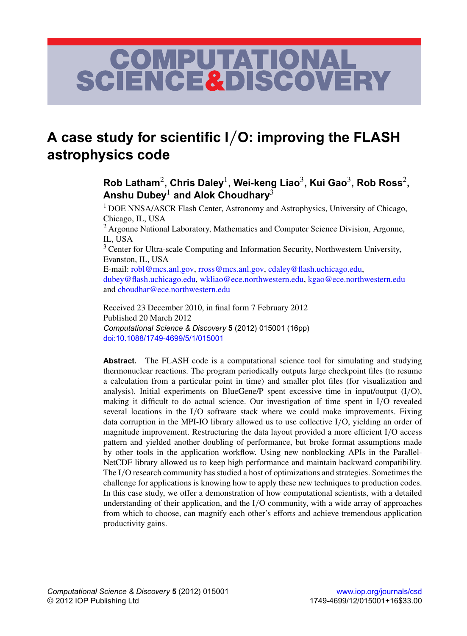# COMPUTATIONAL<br>SCIENCE&DISCOVERY

# **A case study for scientific I**/**O: improving the FLASH astrophysics code**

 $\boldsymbol{\mathsf{Rob}}$  Latham $^2$ , Chris Daley $^1$ , Wei-keng Liao $^3$ , Kui Gao $^3$ , Rob Ross $^2$ , **Anshu Dubey**<sup>1</sup> **and Alok Choudhary**<sup>3</sup>

<sup>1</sup> DOE NNSA/ASCR Flash Center, Astronomy and Astrophysics, University of Chicago, Chicago, IL, USA

<sup>2</sup> Argonne National Laboratory, Mathematics and Computer Science Division, Argonne, IL, USA

<sup>3</sup> Center for Ultra-scale Computing and Information Security, Northwestern University, Evanston, IL, USA

E-mail: [robl@mcs.anl.gov,](mailto:robl@mcs.anl.gov) [rross@mcs.anl.gov,](mailto:rross@mcs.anl.gov) [cdaley@flash.uchicago.edu,](mailto:cdaley@flash.uchicago.edu) [dubey@flash.uchicago.edu,](mailto:dubey@flash.uchicago.edu) [wkliao@ece.northwestern.edu,](mailto:wkliao@ece.northwestern.edu) [kgao@ece.northwestern.edu](mailto:kgao@ece.northwestern.edu) and [choudhar@ece.northwestern.edu](mailto:choudhar@ece.northwestern.edu)

Received 23 December 2010, in final form 7 February 2012 Published 20 March 2012 *Computational Science & Discovery* **5** (2012) 015001 (16pp) [doi:10.1088/1749-4699/5/1/015001](http://dx.doi.org/10.1088/1749-4699/5/1/015001)

**Abstract.** The FLASH code is a computational science tool for simulating and studying thermonuclear reactions. The program periodically outputs large checkpoint files (to resume a calculation from a particular point in time) and smaller plot files (for visualization and analysis). Initial experiments on BlueGene/P spent excessive time in input/output (I/O), making it difficult to do actual science. Our investigation of time spent in I/O revealed several locations in the I/O software stack where we could make improvements. Fixing data corruption in the MPI-IO library allowed us to use collective I/O, yielding an order of magnitude improvement. Restructuring the data layout provided a more efficient I/O access pattern and yielded another doubling of performance, but broke format assumptions made by other tools in the application workflow. Using new nonblocking APIs in the Parallel-NetCDF library allowed us to keep high performance and maintain backward compatibility. The I/O research community has studied a host of optimizations and strategies. Sometimes the challenge for applications is knowing how to apply these new techniques to production codes. In this case study, we offer a demonstration of how computational scientists, with a detailed understanding of their application, and the I/O community, with a wide array of approaches from which to choose, can magnify each other's efforts and achieve tremendous application productivity gains.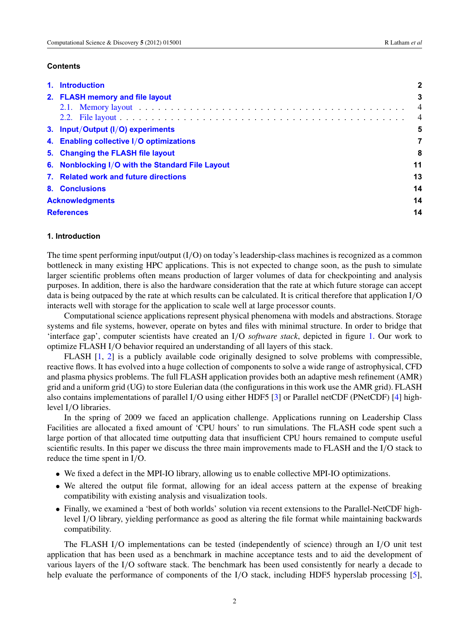#### **Contents**

|                        | 1. Introduction                                  | $\mathbf{2}$   |  |  |  |
|------------------------|--------------------------------------------------|----------------|--|--|--|
|                        | 2. FLASH memory and file layout                  | 3              |  |  |  |
|                        |                                                  | $\overline{4}$ |  |  |  |
|                        |                                                  | $\overline{4}$ |  |  |  |
|                        | 3. Input/Output (I/O) experiments                | 5              |  |  |  |
|                        | 4. Enabling collective I/O optimizations         | 7              |  |  |  |
|                        | 5. Changing the FLASH file layout                | 8              |  |  |  |
|                        | 6. Nonblocking I/O with the Standard File Layout |                |  |  |  |
|                        | 7. Related work and future directions            | 13             |  |  |  |
|                        | 8. Conclusions                                   | 14             |  |  |  |
| <b>Acknowledgments</b> |                                                  |                |  |  |  |
|                        | <b>References</b>                                |                |  |  |  |

# **1. Introduction**

The time spent performing input/output  $(I/O)$  on today's leadership-class machines is recognized as a common bottleneck in many existing HPC applications. This is not expected to change soon, as the push to simulate larger scientific problems often means production of larger volumes of data for checkpointing and analysis purposes. In addition, there is also the hardware consideration that the rate at which future storage can accept data is being outpaced by the rate at which results can be calculated. It is critical therefore that application I/O interacts well with storage for the application to scale well at large processor counts.

Computational science applications represent physical phenomena with models and abstractions. Storage systems and file systems, however, operate on bytes and files with minimal structure. In order to bridge that 'interface gap', computer scientists have created an I/O *software stack*, depicted in figure [1.](#page-3-0) Our work to optimize FLASH I/O behavior required an understanding of all layers of this stack.

FLASH [\[1,](#page-14-0) [2\]](#page-15-0) is a publicly available code originally designed to solve problems with compressible, reactive flows. It has evolved into a huge collection of components to solve a wide range of astrophysical, CFD and plasma physics problems. The full FLASH application provides both an adaptive mesh refinement (AMR) grid and a uniform grid (UG) to store Eulerian data (the configurations in this work use the AMR grid). FLASH also contains implementations of parallel I/O using either HDF5 [\[3\]](#page-15-0) or Parallel netCDF (PNetCDF) [\[4\]](#page-15-0) highlevel I/O libraries.

In the spring of 2009 we faced an application challenge. Applications running on Leadership Class Facilities are allocated a fixed amount of 'CPU hours' to run simulations. The FLASH code spent such a large portion of that allocated time outputting data that insufficient CPU hours remained to compute useful scientific results. In this paper we discuss the three main improvements made to FLASH and the I/O stack to reduce the time spent in I/O.

- We fixed a defect in the MPI-IO library, allowing us to enable collective MPI-IO optimizations.
- We altered the output file format, allowing for an ideal access pattern at the expense of breaking compatibility with existing analysis and visualization tools.
- Finally, we examined a 'best of both worlds' solution via recent extensions to the Parallel-NetCDF highlevel I/O library, yielding performance as good as altering the file format while maintaining backwards compatibility.

The FLASH I/O implementations can be tested (independently of science) through an I/O unit test application that has been used as a benchmark in machine acceptance tests and to aid the development of various layers of the I/O software stack. The benchmark has been used consistently for nearly a decade to help evaluate the performance of components of the I/O stack, including HDF5 hyperslab processing [\[5\]](#page-15-0),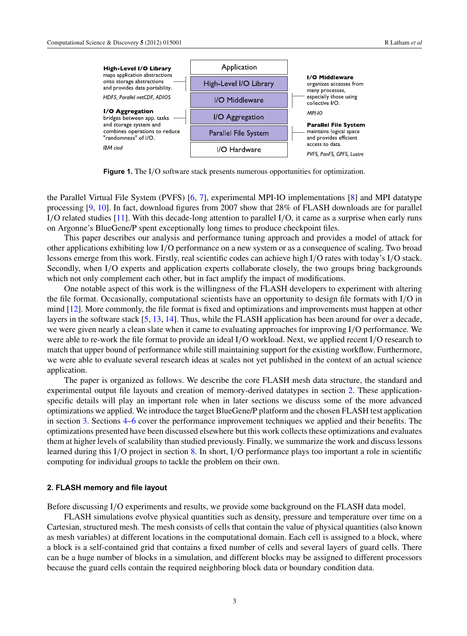<span id="page-3-0"></span>

**Figure 1.** The I/O software stack presents numerous opportunities for optimization.

the Parallel Virtual File System (PVFS) [\[6,](#page-15-0) [7\]](#page-15-0), experimental MPI-IO implementations [\[8\]](#page-15-0) and MPI datatype processing [\[9,](#page-15-0) [10\]](#page-15-0). In fact, download figures from 2007 show that 28% of FLASH downloads are for parallel I/O related studies [\[11\]](#page-15-0). With this decade-long attention to parallel I/O, it came as a surprise when early runs on Argonne's BlueGene/P spent exceptionally long times to produce checkpoint files.

This paper describes our analysis and performance tuning approach and provides a model of attack for other applications exhibiting low I/O performance on a new system or as a consequence of scaling. Two broad lessons emerge from this work. Firstly, real scientific codes can achieve high I/O rates with today's I/O stack. Secondly, when I/O experts and application experts collaborate closely, the two groups bring backgrounds which not only complement each other, but in fact amplify the impact of modifications.

One notable aspect of this work is the willingness of the FLASH developers to experiment with altering the file format. Occasionally, computational scientists have an opportunity to design file formats with I/O in mind [\[12\]](#page-15-0). More commonly, the file format is fixed and optimizations and improvements must happen at other layers in the software stack [\[5,](#page-15-0) [13,](#page-15-0) [14\]](#page-15-0). Thus, while the FLASH application has been around for over a decade, we were given nearly a clean slate when it came to evaluating approaches for improving I/O performance. We were able to re-work the file format to provide an ideal I/O workload. Next, we applied recent I/O research to match that upper bound of performance while still maintaining support for the existing workflow. Furthermore, we were able to evaluate several research ideas at scales not yet published in the context of an actual science application.

The paper is organized as follows. We describe the core FLASH mesh data structure, the standard and experimental output file layouts and creation of memory-derived datatypes in section 2. These applicationspecific details will play an important role when in later sections we discuss some of the more advanced optimizations we applied. We introduce the target BlueGene/P platform and the chosen FLASH test application in section [3.](#page-5-0) Sections [4](#page-7-0)[–6](#page-11-0) cover the performance improvement techniques we applied and their benefits. The optimizations presented have been discussed elsewhere but this work collects these optimizations and evaluates them at higher levels of scalability than studied previously. Finally, we summarize the work and discuss lessons learned during this I/O project in section [8.](#page-14-0) In short, I/O performance plays too important a role in scientific computing for individual groups to tackle the problem on their own.

#### **2. FLASH memory and file layout**

Before discussing I/O experiments and results, we provide some background on the FLASH data model.

FLASH simulations evolve physical quantities such as density, pressure and temperature over time on a Cartesian, structured mesh. The mesh consists of cells that contain the value of physical quantities (also known as mesh variables) at different locations in the computational domain. Each cell is assigned to a block, where a block is a self-contained grid that contains a fixed number of cells and several layers of guard cells. There can be a huge number of blocks in a simulation, and different blocks may be assigned to different processors because the guard cells contain the required neighboring block data or boundary condition data.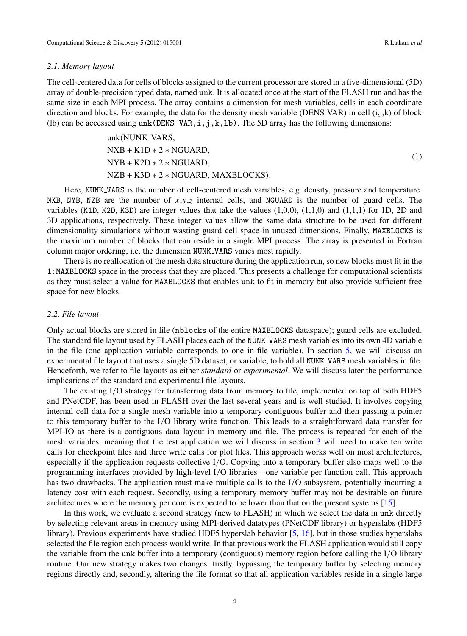#### <span id="page-4-0"></span>*2.1. Memory layout*

The cell-centered data for cells of blocks assigned to the current processor are stored in a five-dimensional (5D) array of double-precision typed data, named unk. It is allocated once at the start of the FLASH run and has the same size in each MPI process. The array contains a dimension for mesh variables, cells in each coordinate direction and blocks. For example, the data for the density mesh variable (DENS VAR) in cell (i,j,k) of block (lb) can be accessed using unk (DENS VAR,  $i$ ,  $j$ ,  $k$ ,  $1b$ ). The 5D array has the following dimensions:

$$
unk(NUNK\_VARS,NXB + K1D * 2 * NGUARD,NYB + K2D * 2 * NGUARD,NZB + K3D * 2 * NGUARD, MAXBLOCKS).
$$
\n(1)

Here, NUNK VARS is the number of cell-centered mesh variables, e.g. density, pressure and temperature. NXB, NYB, NZB are the number of  $x, y, z$  internal cells, and NGUARD is the number of guard cells. The variables (K1D, K2D, K3D) are integer values that take the values (1,0,0), (1,1,0) and (1,1,1) for 1D, 2D and 3D applications, respectively. These integer values allow the same data structure to be used for different dimensionality simulations without wasting guard cell space in unused dimensions. Finally, MAXBLOCKS is the maximum number of blocks that can reside in a single MPI process. The array is presented in Fortran column major ordering, i.e. the dimension NUNK VARS varies most rapidly.

There is no reallocation of the mesh data structure during the application run, so new blocks must fit in the 1:MAXBLOCKS space in the process that they are placed. This presents a challenge for computational scientists as they must select a value for MAXBLOCKS that enables unk to fit in memory but also provide sufficient free space for new blocks.

### *2.2. File layout*

Only actual blocks are stored in file (nblocks of the entire MAXBLOCKS dataspace); guard cells are excluded. The standard file layout used by FLASH places each of the NUNK VARS mesh variables into its own 4D variable in the file (one application variable corresponds to one in-file variable). In section [5,](#page-8-0) we will discuss an experimental file layout that uses a single 5D dataset, or variable, to hold all NUNK VARS mesh variables in file. Henceforth, we refer to file layouts as either *standard* or *experimental*. We will discuss later the performance implications of the standard and experimental file layouts.

The existing I/O strategy for transferring data from memory to file, implemented on top of both HDF5 and PNetCDF, has been used in FLASH over the last several years and is well studied. It involves copying internal cell data for a single mesh variable into a temporary contiguous buffer and then passing a pointer to this temporary buffer to the I/O library write function. This leads to a straightforward data transfer for MPI-IO as there is a contiguous data layout in memory and file. The process is repeated for each of the mesh variables, meaning that the test application we will discuss in section [3](#page-5-0) will need to make ten write calls for checkpoint files and three write calls for plot files. This approach works well on most architectures, especially if the application requests collective I/O. Copying into a temporary buffer also maps well to the programming interfaces provided by high-level I/O libraries—one variable per function call. This approach has two drawbacks. The application must make multiple calls to the I/O subsystem, potentially incurring a latency cost with each request. Secondly, using a temporary memory buffer may not be desirable on future architectures where the memory per core is expected to be lower than that on the present systems [\[15\]](#page-15-0).

In this work, we evaluate a second strategy (new to FLASH) in which we select the data in unk directly by selecting relevant areas in memory using MPI-derived datatypes (PNetCDF library) or hyperslabs (HDF5 library). Previous experiments have studied HDF5 hyperslab behavior [\[5,](#page-15-0) [16\]](#page-15-0), but in those studies hyperslabs selected the file region each process would write. In that previous work the FLASH application would still copy the variable from the unk buffer into a temporary (contiguous) memory region before calling the I/O library routine. Our new strategy makes two changes: firstly, bypassing the temporary buffer by selecting memory regions directly and, secondly, altering the file format so that all application variables reside in a single large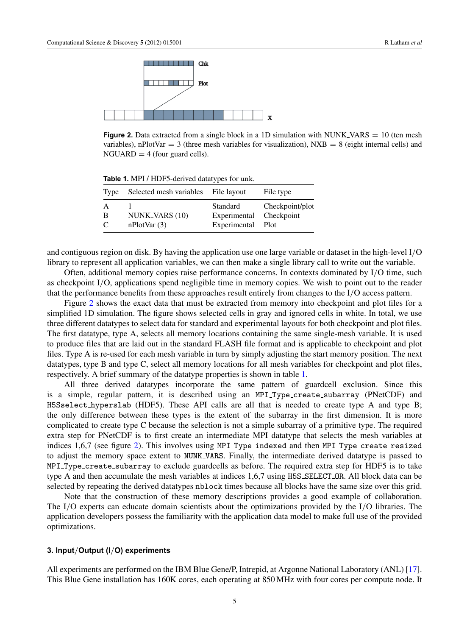<span id="page-5-0"></span>

**Figure 2.** Data extracted from a single block in a 1D simulation with NUNK VARS = 10 (ten mesh) variables), nPlotVar = 3 (three mesh variables for visualization),  $NXB = 8$  (eight internal cells) and  $NGUARD = 4$  (four guard cells).

**Table 1.** MPI / HDF5-derived datatypes for unk.

| Type                               | Selected mesh variables File layout |                                                          | File type       |
|------------------------------------|-------------------------------------|----------------------------------------------------------|-----------------|
| A<br><sup>B</sup><br>$\mathcal{C}$ | NUNK_VARS (10)<br>nPlotVar(3)       | Standard<br>Experimental Checkpoint<br>Experimental Plot | Checkpoint/plot |

and contiguous region on disk. By having the application use one large variable or dataset in the high-level I/O library to represent all application variables, we can then make a single library call to write out the variable.

Often, additional memory copies raise performance concerns. In contexts dominated by I/O time, such as checkpoint I/O, applications spend negligible time in memory copies. We wish to point out to the reader that the performance benefits from these approaches result entirely from changes to the I/O access pattern.

Figure 2 shows the exact data that must be extracted from memory into checkpoint and plot files for a simplified 1D simulation. The figure shows selected cells in gray and ignored cells in white. In total, we use three different datatypes to select data for standard and experimental layouts for both checkpoint and plot files. The first datatype, type A, selects all memory locations containing the same single-mesh variable. It is used to produce files that are laid out in the standard FLASH file format and is applicable to checkpoint and plot files. Type A is re-used for each mesh variable in turn by simply adjusting the start memory position. The next datatypes, type B and type C, select all memory locations for all mesh variables for checkpoint and plot files, respectively. A brief summary of the datatype properties is shown in table 1.

All three derived datatypes incorporate the same pattern of guardcell exclusion. Since this is a simple, regular pattern, it is described using an MPI Type create subarray (PNetCDF) and H5Sselect hyperslab (HDF5). These API calls are all that is needed to create type A and type B; the only difference between these types is the extent of the subarray in the first dimension. It is more complicated to create type C because the selection is not a simple subarray of a primitive type. The required extra step for PNetCDF is to first create an intermediate MPI datatype that selects the mesh variables at indices 1,6,7 (see figure 2). This involves using MPI Type indexed and then MPI Type create resized to adjust the memory space extent to NUNK VARS. Finally, the intermediate derived datatype is passed to MPI Type create subarray to exclude guardcells as before. The required extra step for HDF5 is to take type A and then accumulate the mesh variables at indices 1,6,7 using H5S SELECT OR. All block data can be selected by repeating the derived datatypes nblock times because all blocks have the same size over this grid.

Note that the construction of these memory descriptions provides a good example of collaboration. The I/O experts can educate domain scientists about the optimizations provided by the I/O libraries. The application developers possess the familiarity with the application data model to make full use of the provided optimizations.

#### **3. Input**/**Output (I**/**O) experiments**

All experiments are performed on the IBM Blue Gene/P, Intrepid, at Argonne National Laboratory (ANL) [\[17\]](#page-15-0). This Blue Gene installation has 160K cores, each operating at 850 MHz with four cores per compute node. It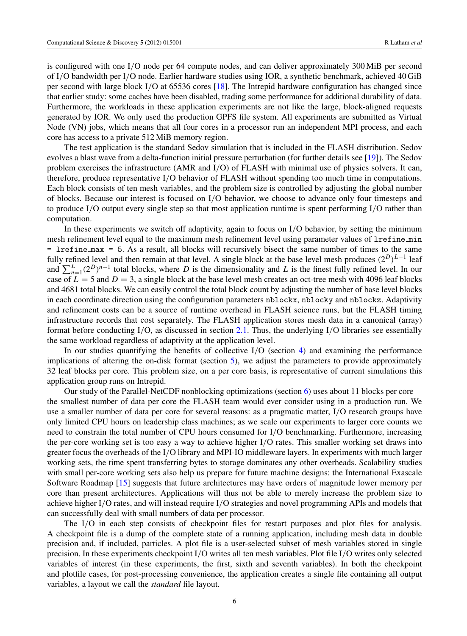is configured with one I/O node per 64 compute nodes, and can deliver approximately 300 MiB per second of I/O bandwidth per I/O node. Earlier hardware studies using IOR, a synthetic benchmark, achieved 40 GiB per second with large block I/O at 65536 cores [\[18\]](#page-15-0). The Intrepid hardware configuration has changed since that earlier study: some caches have been disabled, trading some performance for additional durability of data. Furthermore, the workloads in these application experiments are not like the large, block-aligned requests generated by IOR. We only used the production GPFS file system. All experiments are submitted as Virtual Node (VN) jobs, which means that all four cores in a processor run an independent MPI process, and each core has access to a private 512 MiB memory region.

The test application is the standard Sedov simulation that is included in the FLASH distribution. Sedov evolves a blast wave from a delta-function initial pressure perturbation (for further details see [\[19\]](#page-15-0)). The Sedov problem exercises the infrastructure (AMR and I/O) of FLASH with minimal use of physics solvers. It can, therefore, produce representative I/O behavior of FLASH without spending too much time in computations. Each block consists of ten mesh variables, and the problem size is controlled by adjusting the global number of blocks. Because our interest is focused on I/O behavior, we choose to advance only four timesteps and to produce I/O output every single step so that most application runtime is spent performing I/O rather than computation.

In these experiments we switch off adaptivity, again to focus on I/O behavior, by setting the minimum mesh refinement level equal to the maximum mesh refinement level using parameter values of lrefine min = lrefine max = 5. As a result, all blocks will recursively bisect the same number of times to the same fully refined level and then remain at that level. A single block at the base level mesh produces  $(2^D)^{L-1}$  leaf and  $\sum_{n=1}^{L} (2^D)^{n-1}$  total blocks, where *D* is the dimensionality and *L* is the finest fully refined level. In our case of  $L = 5$  and  $D = 3$ , a single block at the base level mesh creates an oct-tree mesh with 4096 leaf blocks and 4681 total blocks. We can easily control the total block count by adjusting the number of base level blocks in each coordinate direction using the configuration parameters nblockx, nblocky and nblockz. Adaptivity and refinement costs can be a source of runtime overhead in FLASH science runs, but the FLASH timing infrastructure records that cost separately. The FLASH application stores mesh data in a canonical (array) format before conducting I/O, as discussed in section [2.1.](#page-3-0) Thus, the underlying I/O libraries see essentially the same workload regardless of adaptivity at the application level.

In our studies quantifying the benefits of collective I/O (section [4\)](#page-7-0) and examining the performance implications of altering the on-disk format (section  $5$ ), we adjust the parameters to provide approximately 32 leaf blocks per core. This problem size, on a per core basis, is representative of current simulations this application group runs on Intrepid.

Our study of the Parallel-NetCDF nonblocking optimizations (section  $6$ ) uses about 11 blocks per core the smallest number of data per core the FLASH team would ever consider using in a production run. We use a smaller number of data per core for several reasons: as a pragmatic matter, I/O research groups have only limited CPU hours on leadership class machines; as we scale our experiments to larger core counts we need to constrain the total number of CPU hours consumed for I/O benchmarking. Furthermore, increasing the per-core working set is too easy a way to achieve higher I/O rates. This smaller working set draws into greater focus the overheads of the I/O library and MPI-IO middleware layers. In experiments with much larger working sets, the time spent transferring bytes to storage dominates any other overheads. Scalability studies with small per-core working sets also help us prepare for future machine designs: the International Exascale Software Roadmap [\[15\]](#page-15-0) suggests that future architectures may have orders of magnitude lower memory per core than present architectures. Applications will thus not be able to merely increase the problem size to achieve higher I/O rates, and will instead require I/O strategies and novel programming APIs and models that can successfully deal with small numbers of data per processor.

The I/O in each step consists of checkpoint files for restart purposes and plot files for analysis. A checkpoint file is a dump of the complete state of a running application, including mesh data in double precision and, if included, particles. A plot file is a user-selected subset of mesh variables stored in single precision. In these experiments checkpoint I/O writes all ten mesh variables. Plot file I/O writes only selected variables of interest (in these experiments, the first, sixth and seventh variables). In both the checkpoint and plotfile cases, for post-processing convenience, the application creates a single file containing all output variables, a layout we call the *standard* file layout.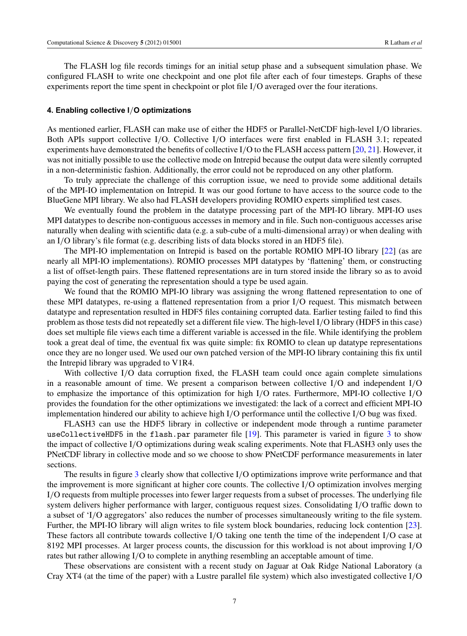<span id="page-7-0"></span>The FLASH log file records timings for an initial setup phase and a subsequent simulation phase. We configured FLASH to write one checkpoint and one plot file after each of four timesteps. Graphs of these experiments report the time spent in checkpoint or plot file I/O averaged over the four iterations.

#### **4. Enabling collective I**/**O optimizations**

As mentioned earlier, FLASH can make use of either the HDF5 or Parallel-NetCDF high-level I/O libraries. Both APIs support collective I/O. Collective I/O interfaces were first enabled in FLASH 3.1; repeated experiments have demonstrated the benefits of collective I/O to the FLASH access pattern [\[20,](#page-15-0) [21\]](#page-15-0). However, it was not initially possible to use the collective mode on Intrepid because the output data were silently corrupted in a non-deterministic fashion. Additionally, the error could not be reproduced on any other platform.

To truly appreciate the challenge of this corruption issue, we need to provide some additional details of the MPI-IO implementation on Intrepid. It was our good fortune to have access to the source code to the BlueGene MPI library. We also had FLASH developers providing ROMIO experts simplified test cases.

We eventually found the problem in the datatype processing part of the MPI-IO library. MPI-IO uses MPI datatypes to describe non-contiguous accesses in memory and in file. Such non-contiguous accesses arise naturally when dealing with scientific data (e.g. a sub-cube of a multi-dimensional array) or when dealing with an I/O library's file format (e.g. describing lists of data blocks stored in an HDF5 file).

The MPI-IO implementation on Intrepid is based on the portable ROMIO MPI-IO library [\[22\]](#page-15-0) (as are nearly all MPI-IO implementations). ROMIO processes MPI datatypes by 'flattening' them, or constructing a list of offset-length pairs. These flattened representations are in turn stored inside the library so as to avoid paying the cost of generating the representation should a type be used again.

We found that the ROMIO MPI-IO library was assigning the wrong flattened representation to one of these MPI datatypes, re-using a flattened representation from a prior I/O request. This mismatch between datatype and representation resulted in HDF5 files containing corrupted data. Earlier testing failed to find this problem as those tests did not repeatedly set a different file view. The high-level I/O library (HDF5 in this case) does set multiple file views each time a different variable is accessed in the file. While identifying the problem took a great deal of time, the eventual fix was quite simple: fix ROMIO to clean up datatype representations once they are no longer used. We used our own patched version of the MPI-IO library containing this fix until the Intrepid library was upgraded to V1R4.

With collective I/O data corruption fixed, the FLASH team could once again complete simulations in a reasonable amount of time. We present a comparison between collective I/O and independent I/O to emphasize the importance of this optimization for high I/O rates. Furthermore, MPI-IO collective I/O provides the foundation for the other optimizations we investigated: the lack of a correct and efficient MPI-IO implementation hindered our ability to achieve high I/O performance until the collective I/O bug was fixed.

FLASH3 can use the HDF5 library in collective or independent mode through a runtime parameter useCollectiveHDF5 in the flash.par parameter file [\[19\]](#page-15-0). This parameter is varied in figure [3](#page-8-0) to show the impact of collective I/O optimizations during weak scaling experiments. Note that FLASH3 only uses the PNetCDF library in collective mode and so we choose to show PNetCDF performance measurements in later sections.

The results in figure [3](#page-8-0) clearly show that collective I/O optimizations improve write performance and that the improvement is more significant at higher core counts. The collective I/O optimization involves merging I/O requests from multiple processes into fewer larger requests from a subset of processes. The underlying file system delivers higher performance with larger, contiguous request sizes. Consolidating I/O traffic down to a subset of 'I/O aggregators' also reduces the number of processes simultaneously writing to the file system. Further, the MPI-IO library will align writes to file system block boundaries, reducing lock contention [\[23\]](#page-15-0). These factors all contribute towards collective I/O taking one tenth the time of the independent I/O case at 8192 MPI processes. At larger process counts, the discussion for this workload is not about improving I/O rates but rather allowing I/O to complete in anything resembling an acceptable amount of time.

These observations are consistent with a recent study on Jaguar at Oak Ridge National Laboratory (a Cray XT4 (at the time of the paper) with a Lustre parallel file system) which also investigated collective I/O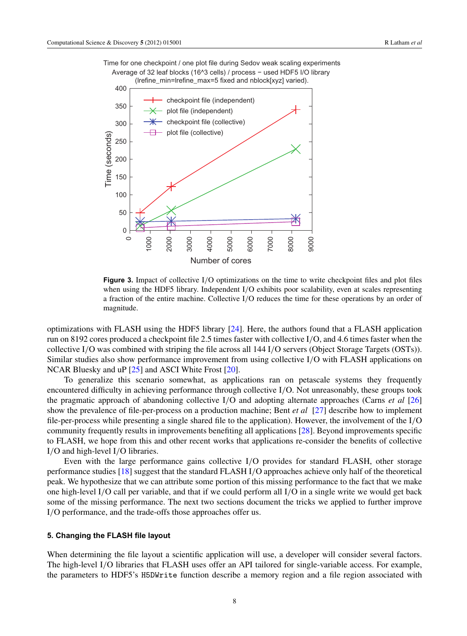<span id="page-8-0"></span>



**Figure 3.** Impact of collective I/O optimizations on the time to write checkpoint files and plot files when using the HDF5 library. Independent I/O exhibits poor scalability, even at scales representing a fraction of the entire machine. Collective I/O reduces the time for these operations by an order of magnitude.

optimizations with FLASH using the HDF5 library [\[24\]](#page-15-0). Here, the authors found that a FLASH application run on 8192 cores produced a checkpoint file 2.5 times faster with collective I/O, and 4.6 times faster when the collective I/O was combined with striping the file across all 144 I/O servers (Object Storage Targets (OSTs)). Similar studies also show performance improvement from using collective I/O with FLASH applications on NCAR Bluesky and uP [\[25\]](#page-15-0) and ASCI White Frost [\[20\]](#page-15-0).

To generalize this scenario somewhat, as applications ran on petascale systems they frequently encountered difficulty in achieving performance through collective I/O. Not unreasonably, these groups took the pragmatic approach of abandoning collective I/O and adopting alternate approaches (Carns *et al* [\[26\]](#page-15-0) show the prevalence of file-per-process on a production machine; Bent *et al* [\[27\]](#page-15-0) describe how to implement file-per-process while presenting a single shared file to the application). However, the involvement of the I/O community frequently results in improvements benefiting all applications [\[28\]](#page-15-0). Beyond improvements specific to FLASH, we hope from this and other recent works that applications re-consider the benefits of collective I/O and high-level I/O libraries.

Even with the large performance gains collective I/O provides for standard FLASH, other storage performance studies [\[18\]](#page-15-0) suggest that the standard FLASH I/O approaches achieve only half of the theoretical peak. We hypothesize that we can attribute some portion of this missing performance to the fact that we make one high-level I/O call per variable, and that if we could perform all I/O in a single write we would get back some of the missing performance. The next two sections document the tricks we applied to further improve I/O performance, and the trade-offs those approaches offer us.

# **5. Changing the FLASH file layout**

When determining the file layout a scientific application will use, a developer will consider several factors. The high-level I/O libraries that FLASH uses offer an API tailored for single-variable access. For example, the parameters to HDF5's H5DWrite function describe a memory region and a file region associated with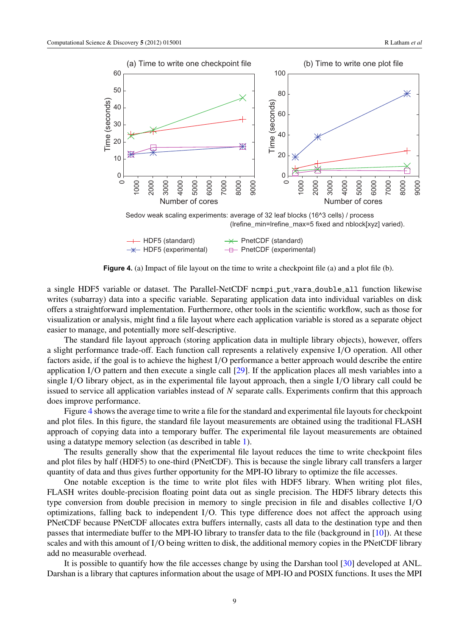

**Figure 4.** (a) Impact of file layout on the time to write a checkpoint file (a) and a plot file (b).

a single HDF5 variable or dataset. The Parallel-NetCDF ncmpi\_put\_vara\_double\_all function likewise writes (subarray) data into a specific variable. Separating application data into individual variables on disk offers a straightforward implementation. Furthermore, other tools in the scientific workflow, such as those for visualization or analysis, might find a file layout where each application variable is stored as a separate object easier to manage, and potentially more self-descriptive.

The standard file layout approach (storing application data in multiple library objects), however, offers a slight performance trade-off. Each function call represents a relatively expensive I/O operation. All other factors aside, if the goal is to achieve the highest I/O performance a better approach would describe the entire application I/O pattern and then execute a single call [\[29\]](#page-15-0). If the application places all mesh variables into a single I/O library object, as in the experimental file layout approach, then a single I/O library call could be issued to service all application variables instead of *N* separate calls. Experiments confirm that this approach does improve performance.

Figure 4 shows the average time to write a file for the standard and experimental file layouts for checkpoint and plot files. In this figure, the standard file layout measurements are obtained using the traditional FLASH approach of copying data into a temporary buffer. The experimental file layout measurements are obtained using a datatype memory selection (as described in table [1\)](#page-5-0).

The results generally show that the experimental file layout reduces the time to write checkpoint files and plot files by half (HDF5) to one-third (PNetCDF). This is because the single library call transfers a larger quantity of data and thus gives further opportunity for the MPI-IO library to optimize the file accesses.

One notable exception is the time to write plot files with HDF5 library. When writing plot files, FLASH writes double-precision floating point data out as single precision. The HDF5 library detects this type conversion from double precision in memory to single precision in file and disables collective I/O optimizations, falling back to independent I/O. This type difference does not affect the approach using PNetCDF because PNetCDF allocates extra buffers internally, casts all data to the destination type and then passes that intermediate buffer to the MPI-IO library to transfer data to the file (background in [\[10\]](#page-15-0)). At these scales and with this amount of I/O being written to disk, the additional memory copies in the PNetCDF library add no measurable overhead.

It is possible to quantify how the file accesses change by using the Darshan tool [\[30\]](#page-16-0) developed at ANL. Darshan is a library that captures information about the usage of MPI-IO and POSIX functions. It uses the MPI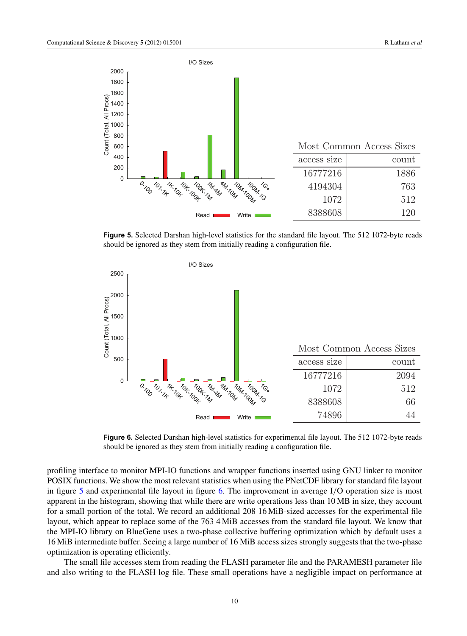

**Figure 5.** Selected Darshan high-level statistics for the standard file layout. The 512 1072-byte reads should be ignored as they stem from initially reading a configuration file.



**Figure 6.** Selected Darshan high-level statistics for experimental file layout. The 512 1072-byte reads should be ignored as they stem from initially reading a configuration file.

profiling interface to monitor MPI-IO functions and wrapper functions inserted using GNU linker to monitor POSIX functions. We show the most relevant statistics when using the PNetCDF library for standard file layout in figure 5 and experimental file layout in figure 6. The improvement in average I/O operation size is most apparent in the histogram, showing that while there are write operations less than 10 MB in size, they account for a small portion of the total. We record an additional 208 16 MiB-sized accesses for the experimental file layout, which appear to replace some of the 763 4 MiB accesses from the standard file layout. We know that the MPI-IO library on BlueGene uses a two-phase collective buffering optimization which by default uses a 16 MiB intermediate buffer. Seeing a large number of 16 MiB access sizes strongly suggests that the two-phase optimization is operating efficiently.

The small file accesses stem from reading the FLASH parameter file and the PARAMESH parameter file and also writing to the FLASH log file. These small operations have a negligible impact on performance at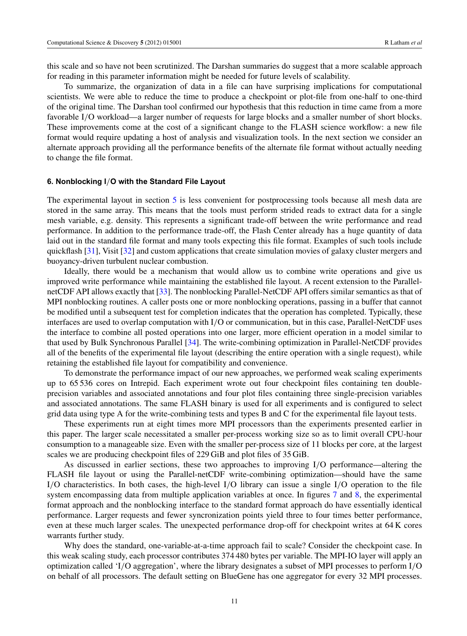<span id="page-11-0"></span>this scale and so have not been scrutinized. The Darshan summaries do suggest that a more scalable approach for reading in this parameter information might be needed for future levels of scalability.

To summarize, the organization of data in a file can have surprising implications for computational scientists. We were able to reduce the time to produce a checkpoint or plot-file from one-half to one-third of the original time. The Darshan tool confirmed our hypothesis that this reduction in time came from a more favorable I/O workload—a larger number of requests for large blocks and a smaller number of short blocks. These improvements come at the cost of a significant change to the FLASH science workflow: a new file format would require updating a host of analysis and visualization tools. In the next section we consider an alternate approach providing all the performance benefits of the alternate file format without actually needing to change the file format.

#### **6. Nonblocking I**/**O with the Standard File Layout**

The experimental layout in section [5](#page-8-0) is less convenient for postprocessing tools because all mesh data are stored in the same array. This means that the tools must perform strided reads to extract data for a single mesh variable, e.g. density. This represents a significant trade-off between the write performance and read performance. In addition to the performance trade-off, the Flash Center already has a huge quantity of data laid out in the standard file format and many tools expecting this file format. Examples of such tools include quickflash [\[31\]](#page-16-0), Visit [\[32\]](#page-16-0) and custom applications that create simulation movies of galaxy cluster mergers and buoyancy-driven turbulent nuclear combustion.

Ideally, there would be a mechanism that would allow us to combine write operations and give us improved write performance while maintaining the established file layout. A recent extension to the ParallelnetCDF API allows exactly that [\[33\]](#page-16-0). The nonblocking Parallel-NetCDF API offers similar semantics as that of MPI nonblocking routines. A caller posts one or more nonblocking operations, passing in a buffer that cannot be modified until a subsequent test for completion indicates that the operation has completed. Typically, these interfaces are used to overlap computation with I/O or communication, but in this case, Parallel-NetCDF uses the interface to combine all posted operations into one larger, more efficient operation in a model similar to that used by Bulk Synchronous Parallel [\[34\]](#page-16-0). The write-combining optimization in Parallel-NetCDF provides all of the benefits of the experimental file layout (describing the entire operation with a single request), while retaining the established file layout for compatibility and convenience.

To demonstrate the performance impact of our new approaches, we performed weak scaling experiments up to 65 536 cores on Intrepid. Each experiment wrote out four checkpoint files containing ten doubleprecision variables and associated annotations and four plot files containing three single-precision variables and associated annotations. The same FLASH binary is used for all experiments and is configured to select grid data using type A for the write-combining tests and types B and C for the experimental file layout tests.

These experiments run at eight times more MPI processors than the experiments presented earlier in this paper. The larger scale necessitated a smaller per-process working size so as to limit overall CPU-hour consumption to a manageable size. Even with the smaller per-process size of 11 blocks per core, at the largest scales we are producing checkpoint files of 229 GiB and plot files of 35 GiB.

As discussed in earlier sections, these two approaches to improving I/O performance—altering the FLASH file layout or using the Parallel-netCDF write-combining optimization—should have the same I/O characteristics. In both cases, the high-level I/O library can issue a single I/O operation to the file system encompassing data from multiple application variables at once. In figures [7](#page-12-0) and [8,](#page-12-0) the experimental format approach and the nonblocking interface to the standard format approach do have essentially identical performance. Larger requests and fewer syncronization points yield three to four times better performance, even at these much larger scales. The unexpected performance drop-off for checkpoint writes at 64 K cores warrants further study.

Why does the standard, one-variable-at-a-time approach fail to scale? Consider the checkpoint case. In this weak scaling study, each processor contributes 374 480 bytes per variable. The MPI-IO layer will apply an optimization called 'I/O aggregation', where the library designates a subset of MPI processes to perform I/O on behalf of all processors. The default setting on BlueGene has one aggregator for every 32 MPI processes.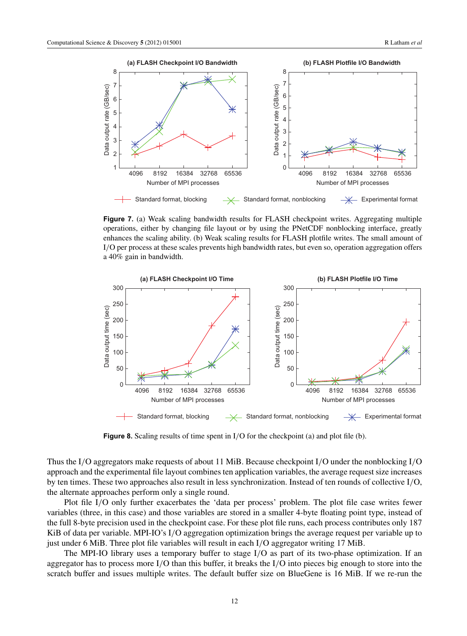<span id="page-12-0"></span>

**Figure 7.** (a) Weak scaling bandwidth results for FLASH checkpoint writes. Aggregating multiple operations, either by changing file layout or by using the PNetCDF nonblocking interface, greatly enhances the scaling ability. (b) Weak scaling results for FLASH plotfile writes. The small amount of I/O per process at these scales prevents high bandwidth rates, but even so, operation aggregation offers a 40% gain in bandwidth.



**Figure 8.** Scaling results of time spent in I/O for the checkpoint (a) and plot file (b).

Thus the I/O aggregators make requests of about 11 MiB. Because checkpoint I/O under the nonblocking I/O approach and the experimental file layout combines ten application variables, the average request size increases by ten times. These two approaches also result in less synchronization. Instead of ten rounds of collective I/O, the alternate approaches perform only a single round.

Plot file I/O only further exacerbates the 'data per process' problem. The plot file case writes fewer variables (three, in this case) and those variables are stored in a smaller 4-byte floating point type, instead of the full 8-byte precision used in the checkpoint case. For these plot file runs, each process contributes only 187 KiB of data per variable. MPI-IO's I/O aggregation optimization brings the average request per variable up to just under 6 MiB. Three plot file variables will result in each I/O aggregator writing 17 MiB.

The MPI-IO library uses a temporary buffer to stage I/O as part of its two-phase optimization. If an aggregator has to process more I/O than this buffer, it breaks the I/O into pieces big enough to store into the scratch buffer and issues multiple writes. The default buffer size on BlueGene is 16 MiB. If we re-run the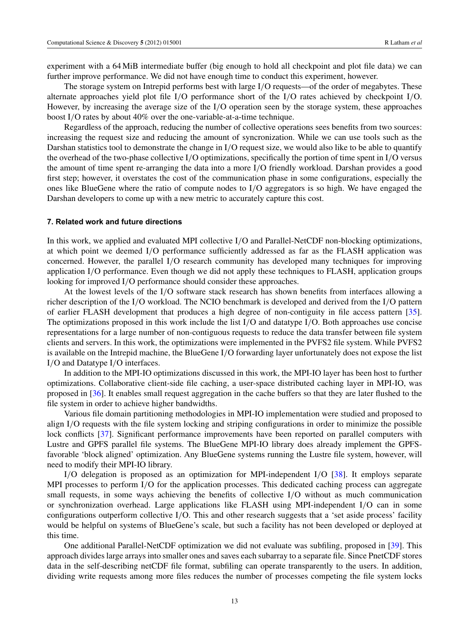<span id="page-13-0"></span>experiment with a 64 MiB intermediate buffer (big enough to hold all checkpoint and plot file data) we can further improve performance. We did not have enough time to conduct this experiment, however.

The storage system on Intrepid performs best with large I/O requests—of the order of megabytes. These alternate approaches yield plot file I/O performance short of the I/O rates achieved by checkpoint I/O. However, by increasing the average size of the I/O operation seen by the storage system, these approaches boost I/O rates by about 40% over the one-variable-at-a-time technique.

Regardless of the approach, reducing the number of collective operations sees benefits from two sources: increasing the request size and reducing the amount of syncronization. While we can use tools such as the Darshan statistics tool to demonstrate the change in I/O request size, we would also like to be able to quantify the overhead of the two-phase collective I/O optimizations, specifically the portion of time spent in I/O versus the amount of time spent re-arranging the data into a more I/O friendly workload. Darshan provides a good first step; however, it overstates the cost of the communication phase in some configurations, especially the ones like BlueGene where the ratio of compute nodes to I/O aggregators is so high. We have engaged the Darshan developers to come up with a new metric to accurately capture this cost.

#### **7. Related work and future directions**

In this work, we applied and evaluated MPI collective I/O and Parallel-NetCDF non-blocking optimizations, at which point we deemed I/O performance sufficiently addressed as far as the FLASH application was concerned. However, the parallel I/O research community has developed many techniques for improving application I/O performance. Even though we did not apply these techniques to FLASH, application groups looking for improved I/O performance should consider these approaches.

At the lowest levels of the I/O software stack research has shown benefits from interfaces allowing a richer description of the I/O workload. The NCIO benchmark is developed and derived from the I/O pattern of earlier FLASH development that produces a high degree of non-contiguity in file access pattern [\[35\]](#page-16-0). The optimizations proposed in this work include the list I/O and datatype I/O. Both approaches use concise representations for a large number of non-contiguous requests to reduce the data transfer between file system clients and servers. In this work, the optimizations were implemented in the PVFS2 file system. While PVFS2 is available on the Intrepid machine, the BlueGene I/O forwarding layer unfortunately does not expose the list I/O and Datatype I/O interfaces.

In addition to the MPI-IO optimizations discussed in this work, the MPI-IO layer has been host to further optimizations. Collaborative client-side file caching, a user-space distributed caching layer in MPI-IO, was proposed in [\[36\]](#page-16-0). It enables small request aggregation in the cache buffers so that they are later flushed to the file system in order to achieve higher bandwidths.

Various file domain partitioning methodologies in MPI-IO implementation were studied and proposed to align I/O requests with the file system locking and striping configurations in order to minimize the possible lock conflicts [\[37\]](#page-16-0). Significant performance improvements have been reported on parallel computers with Lustre and GPFS parallel file systems. The BlueGene MPI-IO library does already implement the GPFSfavorable 'block aligned' optimization. Any BlueGene systems running the Lustre file system, however, will need to modify their MPI-IO library.

I/O delegation is proposed as an optimization for MPI-independent I/O [\[38\]](#page-16-0). It employs separate MPI processes to perform I/O for the application processes. This dedicated caching process can aggregate small requests, in some ways achieving the benefits of collective I/O without as much communication or synchronization overhead. Large applications like FLASH using MPI-independent I/O can in some configurations outperform collective I/O. This and other research suggests that a 'set aside process' facility would be helpful on systems of BlueGene's scale, but such a facility has not been developed or deployed at this time.

One additional Parallel-NetCDF optimization we did not evaluate was subfiling, proposed in [\[39\]](#page-16-0). This approach divides large arrays into smaller ones and saves each subarray to a separate file. Since PnetCDF stores data in the self-describing netCDF file format, subfiling can operate transparently to the users. In addition, dividing write requests among more files reduces the number of processes competing the file system locks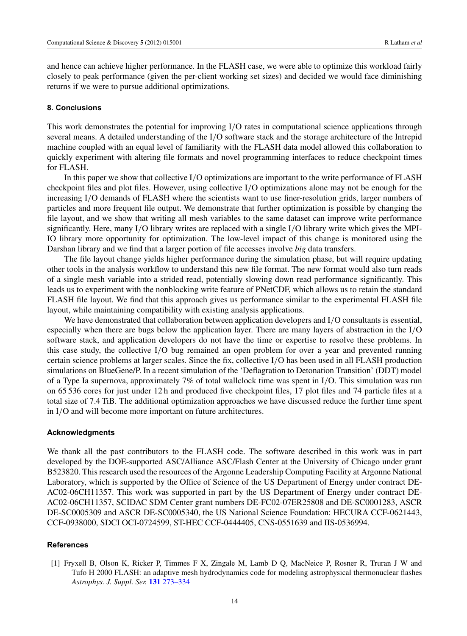<span id="page-14-0"></span>and hence can achieve higher performance. In the FLASH case, we were able to optimize this workload fairly closely to peak performance (given the per-client working set sizes) and decided we would face diminishing returns if we were to pursue additional optimizations.

#### **8. Conclusions**

This work demonstrates the potential for improving I/O rates in computational science applications through several means. A detailed understanding of the I/O software stack and the storage architecture of the Intrepid machine coupled with an equal level of familiarity with the FLASH data model allowed this collaboration to quickly experiment with altering file formats and novel programming interfaces to reduce checkpoint times for FLASH.

In this paper we show that collective I/O optimizations are important to the write performance of FLASH checkpoint files and plot files. However, using collective I/O optimizations alone may not be enough for the increasing I/O demands of FLASH where the scientists want to use finer-resolution grids, larger numbers of particles and more frequent file output. We demonstrate that further optimization is possible by changing the file layout, and we show that writing all mesh variables to the same dataset can improve write performance significantly. Here, many I/O library writes are replaced with a single I/O library write which gives the MPI-IO library more opportunity for optimization. The low-level impact of this change is monitored using the Darshan library and we find that a larger portion of file accesses involve *big* data transfers.

The file layout change yields higher performance during the simulation phase, but will require updating other tools in the analysis workflow to understand this new file format. The new format would also turn reads of a single mesh variable into a strided read, potentially slowing down read performance significantly. This leads us to experiment with the nonblocking write feature of PNetCDF, which allows us to retain the standard FLASH file layout. We find that this approach gives us performance similar to the experimental FLASH file layout, while maintaining compatibility with existing analysis applications.

We have demonstrated that collaboration between application developers and I/O consultants is essential, especially when there are bugs below the application layer. There are many layers of abstraction in the I/O software stack, and application developers do not have the time or expertise to resolve these problems. In this case study, the collective I/O bug remained an open problem for over a year and prevented running certain science problems at larger scales. Since the fix, collective I/O has been used in all FLASH production simulations on BlueGene/P. In a recent simulation of the 'Deflagration to Detonation Transition' (DDT) model of a Type Ia supernova, approximately 7% of total wallclock time was spent in I/O. This simulation was run on 65 536 cores for just under 12 h and produced five checkpoint files, 17 plot files and 74 particle files at a total size of 7.4 TiB. The additional optimization approaches we have discussed reduce the further time spent in I/O and will become more important on future architectures.

# **Acknowledgments**

We thank all the past contributors to the FLASH code. The software described in this work was in part developed by the DOE-supported ASC/Alliance ASC/Flash Center at the University of Chicago under grant B523820. This research used the resources of the Argonne Leadership Computing Facility at Argonne National Laboratory, which is supported by the Office of Science of the US Department of Energy under contract DE-AC02-06CH11357. This work was supported in part by the US Department of Energy under contract DE-AC02-06CH11357, SCIDAC SDM Center grant numbers DE-FC02-07ER25808 and DE-SC0001283, ASCR DE-SC0005309 and ASCR DE-SC0005340, the US National Science Foundation: HECURA CCF-0621443, CCF-0938000, SDCI OCI-0724599, ST-HEC CCF-0444405, CNS-0551639 and IIS-0536994.

# **References**

[1] Fryxell B, Olson K, Ricker P, Timmes F X, Zingale M, Lamb D Q, MacNeice P, Rosner R, Truran J W and Tufo H 2000 FLASH: an adaptive mesh hydrodynamics code for modeling astrophysical thermonuclear flashes *Astrophys. J. Suppl. Ser.* **131** [273–334](http://dx.doi.org/10.1086/apjs.2000.131.issue-1)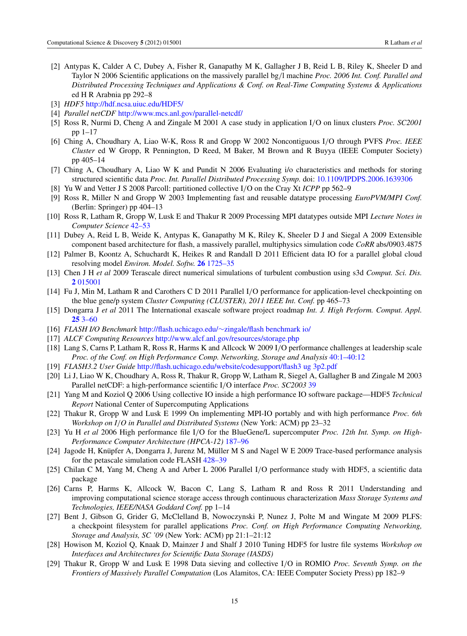- <span id="page-15-0"></span>[2] Antypas K, Calder A C, Dubey A, Fisher R, Ganapathy M K, Gallagher J B, Reid L B, Riley K, Sheeler D and Taylor N 2006 Scientific applications on the massively parallel bg/l machine *Proc. 2006 Int. Conf. Parallel and Distributed Processing Techniques and Applications & Conf. on Real-Time Computing Systems & Applications* ed H R Arabnia pp 292–8
- [3] *HDF5* <http://hdf.ncsa.uiuc.edu/HDF5/>
- [4] *Parallel netCDF* <http://www.mcs.anl.gov/parallel-netcdf/>
- [5] Ross R, Nurmi D, Cheng A and Zingale M 2001 A case study in application I/O on linux clusters *Proc. SC2001* pp 1–17
- [6] Ching A, Choudhary A, Liao W-K, Ross R and Gropp W 2002 Noncontiguous I/O through PVFS *Proc. IEEE Cluster* ed W Gropp, R Pennington, D Reed, M Baker, M Brown and R Buyya (IEEE Computer Society) pp 405–14
- [7] Ching A, Choudhary A, Liao W K and Pundit N 2006 Evaluating i/o characteristics and methods for storing structured scientific data *Proc. Int. Parallel Distributed Processing Symp.* doi: [10.1109/IPDPS.2006.1639306](http://dx.doi.org/10.1109/IPDPS.2006.1639306)
- [8] Yu W and Vetter J S 2008 Parcoll: partitioned collective I/O on the Cray Xt *ICPP* pp 562–9
- [9] Ross R, Miller N and Gropp W 2003 Implementing fast and reusable datatype processing *EuroPVM/MPI Conf.* (Berlin: Springer) pp 404–13
- [10] Ross R, Latham R, Gropp W, Lusk E and Thakur R 2009 Processing MPI datatypes outside MPI *Lecture Notes in Computer Science* [42–53](http://dx.doi.org/10.1007/978-3-642-03770-2_11)
- [11] Dubey A, Reid L B, Weide K, Antypas K, Ganapathy M K, Riley K, Sheeler D J and Siegal A 2009 Extensible component based architecture for flash, a massively parallel, multiphysics simulation code *CoRR* abs/0903.4875
- [12] Palmer B, Koontz A, Schuchardt K, Heikes R and Randall D 2011 Efficient data IO for a parallel global cloud resolving model *Environ. Model. Softw.* **26** [1725–35](http://dx.doi.org/10.1016/j.envsoft.2011.08.007)
- [13] Chen J H *et al* 2009 Terascale direct numerical simulations of turbulent combustion using s3d *Comput. Sci. Dis.* **2** [015001](http://dx.doi.org/10.1088/1749-4699/2/1/015001)
- [14] Fu J, Min M, Latham R and Carothers C D 2011 Parallel I/O performance for application-level checkpointing on the blue gene/p system *Cluster Computing (CLUSTER), 2011 IEEE Int. Conf.* pp 465–73
- [15] Dongarra J *et al* 2011 The International exascale software project roadmap *Int. J. High Perform. Comput. Appl.* **25** [3–60](http://dx.doi.org/10.1177/1094342010391989)
- [16] *FLASH I/O Benchmark* http://flash.uchicago.edu/∼[zingale/flash benchmark io/](http://flash.uchicago.edu/~zingale/flash benchmark io/)
- [17] *ALCF Computing Resources* <http://www.alcf.anl.gov/resources/storage.php>
- [18] Lang S, Carns P, Latham R, Ross R, Harms K and Allcock W 2009 I/O performance challenges at leadership scale *Proc. of the Conf. on High Performance Comp. Networking, Storage and Analysis* [40:1–40:12](http://dx.doi.org/10.1145/1654059.1654100)
- [19] *FLASH3.2 User Guide* <http://flash.uchicago.edu/website/codesupport/flash3 ug 3p2.pdf>
- [20] Li J, Liao W K, Choudhary A, Ross R, Thakur R, Gropp W, Latham R, Siegel A, Gallagher B and Zingale M 2003 Parallel netCDF: a high-performance scientific I/O interface *Proc. SC2003* [39](http://dx.doi.org/10.1145/1048935.1050189)
- [21] Yang M and Koziol Q 2006 Using collective IO inside a high performance IO software package—HDF5 *Technical Report* National Center of Supercomputing Applications
- [22] Thakur R, Gropp W and Lusk E 1999 On implementing MPI-IO portably and with high performance *Proc. 6th Workshop on I*/*O in Parallel and Distributed Systems* (New York: ACM) pp 23–32
- [23] Yu H *et al* 2006 High performance file I/O for the BlueGene/L supercomputer *Proc. 12th Int. Symp. on High-Performance Computer Architecture (HPCA-12)* [187–96](http://dx.doi.org/10.1109/HPCA.2006.1598125)
- [24] Jagode H, Knüpfer A, Dongarra J, Jurenz M, Müller M S and Nagel W E 2009 Trace-based performance analysis for the petascale simulation code FLASH [428–39](http://dx.doi.org/10.1177/1094342010387806)
- [25] Chilan C M, Yang M, Cheng A and Arber L 2006 Parallel I/O performance study with HDF5, a scientific data package
- [26] Carns P, Harms K, Allcock W, Bacon C, Lang S, Latham R and Ross R 2011 Understanding and improving computational science storage access through continuous characterization *Mass Storage Systems and Technologies, IEEE/NASA Goddard Conf.* pp 1–14
- [27] Bent J, Gibson G, Grider G, McClelland B, Nowoczynski P, Nunez J, Polte M and Wingate M 2009 PLFS: a checkpoint filesystem for parallel applications *Proc. Conf. on High Performance Computing Networking, Storage and Analysis, SC '09* (New York: ACM) pp 21:1–21:12
- [28] Howison M, Koziol Q, Knaak D, Mainzer J and Shalf J 2010 Tuning HDF5 for lustre file systems *Workshop on Interfaces and Architectures for Scientific Data Storage (IASDS)*
- [29] Thakur R, Gropp W and Lusk E 1998 Data sieving and collective I/O in ROMIO *Proc. Seventh Symp. on the Frontiers of Massively Parallel Computation* (Los Alamitos, CA: IEEE Computer Society Press) pp 182–9